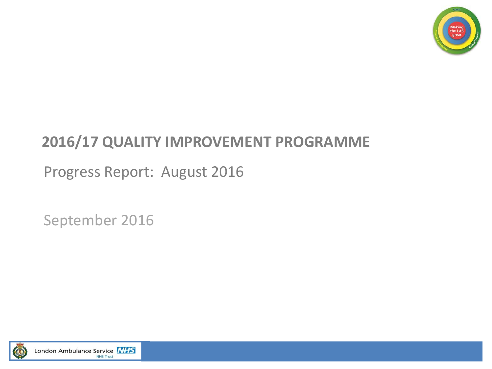

### **2016/17 QUALITY IMPROVEMENT PROGRAMME**

Progress Report: August 2016

September 2016

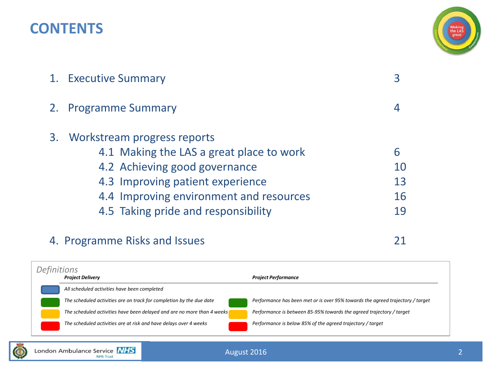### **CONTENTS**



| 1. Executive Summary                                                                                                                                                                       |                     |  |  |  |  |  |
|--------------------------------------------------------------------------------------------------------------------------------------------------------------------------------------------|---------------------|--|--|--|--|--|
| 2. Programme Summary                                                                                                                                                                       |                     |  |  |  |  |  |
| 3. Workstream progress reports<br>4.1 Making the LAS a great place to work<br>4.2 Achieving good governance<br>4.3 Improving patient experience<br>4.4 Improving environment and resources | 6<br>10<br>13<br>16 |  |  |  |  |  |
| 4.5 Taking pride and responsibility                                                                                                                                                        | 19                  |  |  |  |  |  |

### 4. Programme Risks and Issues 21

*Project Delivery Project Performance All scheduled activities have been completed The scheduled activities are on track for completion by the due date Performance has been met or is over 95% towards the agreed trajectory / target The scheduled activities have been delayed and are no more than 4 weeks Performance is between 85-95% towards the agreed trajectory / target The scheduled activities are at risk and have delays over 4 weeks Performance is below 85% of the agreed trajectory / target Definitions*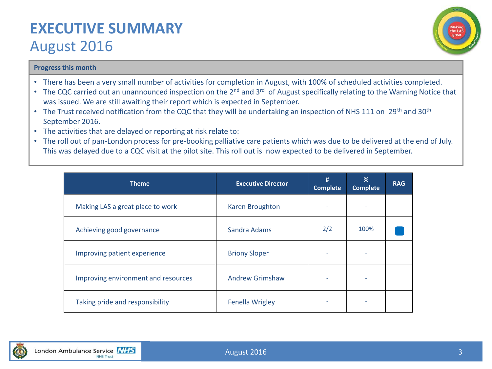### **EXECUTIVE SUMMARY**  August 2016



### **Progress this month**

- There has been a very small number of activities for completion in August, with 100% of scheduled activities completed.
- The CQC carried out an unannounced inspection on the 2<sup>nd</sup> and 3<sup>rd</sup> of August specifically relating to the Warning Notice that was issued. We are still awaiting their report which is expected in September.
- The Trust received notification from the CQC that they will be undertaking an inspection of NHS 111 on 29<sup>th</sup> and 30<sup>th</sup> September 2016.
- The activities that are delayed or reporting at risk relate to:
- The roll out of pan-London process for pre-booking palliative care patients which was due to be delivered at the end of July. This was delayed due to a CQC visit at the pilot site. This roll out is now expected to be delivered in September.

| <b>Theme</b>                        | <b>Executive Director</b> | #<br><b>Complete</b> | %<br><b>Complete</b> | <b>RAG</b> |
|-------------------------------------|---------------------------|----------------------|----------------------|------------|
| Making LAS a great place to work    | Karen Broughton           |                      |                      |            |
| Achieving good governance           | Sandra Adams              | 2/2                  | 100%                 |            |
| Improving patient experience        | <b>Briony Sloper</b>      |                      |                      |            |
| Improving environment and resources | <b>Andrew Grimshaw</b>    |                      |                      |            |
| Taking pride and responsibility     | <b>Fenella Wrigley</b>    |                      |                      |            |

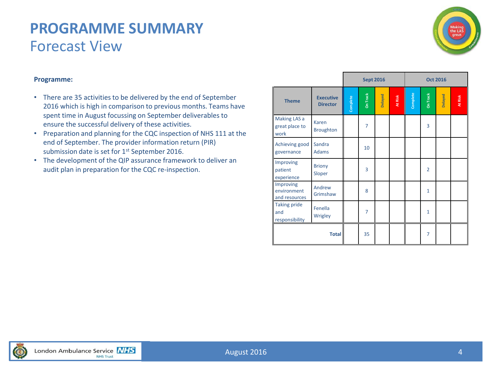### **PROGRAMME SUMMARY** Forecast View



### **Programme:**

- There are 35 activities to be delivered by the end of September 2016 which is high in comparison to previous months. Teams have spent time in August focussing on September deliverables to ensure the successful delivery of these activities.
- Preparation and planning for the CQC inspection of NHS 111 at the end of September. The provider information return (PIR) submission date is set for 1<sup>st</sup> September 2016.
- The development of the QIP assurance framework to deliver an audit plan in preparation for the CQC re-inspection.

|                                              |                                     | <b>Sept 2016</b><br><b>Oct 2016</b> |                 |         |         |               |                 |         |         |
|----------------------------------------------|-------------------------------------|-------------------------------------|-----------------|---------|---------|---------------|-----------------|---------|---------|
| <b>Theme</b>                                 | <b>Executive</b><br><b>Director</b> | Complete                            | <b>On Track</b> | Delayed | At Risk | Complete<br>I | <b>On Track</b> | Delayed | At Risk |
| Making LAS a<br>great place to<br>work       | Karen<br><b>Broughton</b>           |                                     | 7               |         |         |               | 3               |         |         |
| Achieving good<br>governance                 | Sandra<br><b>Adams</b>              |                                     | 10              |         |         |               |                 |         |         |
| Improving<br>patient<br>experience           | <b>Briony</b><br>Sloper             |                                     | 3               |         |         |               | $\overline{2}$  |         |         |
| Improving<br>environment<br>and resources    | Andrew<br>Grimshaw                  |                                     | 8               |         |         |               | 1               |         |         |
| <b>Taking pride</b><br>and<br>responsibility | Fenella<br>Wrigley                  |                                     | $\overline{7}$  |         |         |               | $\mathbf{1}$    |         |         |
|                                              | <b>Total</b>                        |                                     | 35              |         |         |               | 7               |         |         |

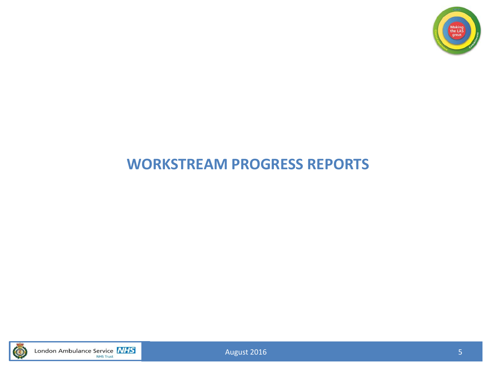

### **WORKSTREAM PROGRESS REPORTS**



London Ambulance Service **NHS** 

August 2016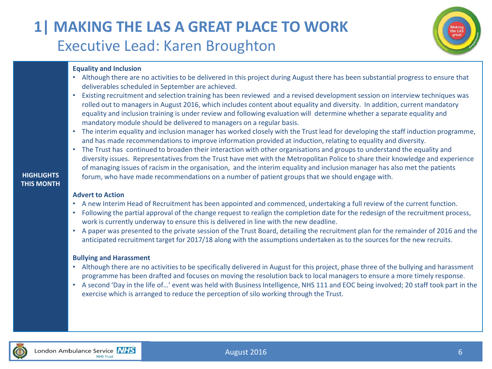### **1| MAKING THE LAS A GREAT PLACE TO WORK** Executive Lead: Karen Broughton



### **Equality and Inclusion**

- Although there are no activities to be delivered in this project during August there has been substantial progress to ensure that deliverables scheduled in September are achieved.
- Existing recruitment and selection training has been reviewed and a revised development session on interview techniques was rolled out to managers in August 2016, which includes content about equality and diversity. In addition, current mandatory equality and inclusion training is under review and following evaluation will determine whether a separate equality and mandatory module should be delivered to managers on a regular basis.
- The interim equality and inclusion manager has worked closely with the Trust lead for developing the staff induction programme, and has made recommendations to improve information provided at induction, relating to equality and diversity.
- The Trust has continued to broaden their interaction with other organisations and groups to understand the equality and diversity issues. Representatives from the Trust have met with the Metropolitan Police to share their knowledge and experience of managing issues of racism in the organisation, and the interim equality and inclusion manager has also met the patients forum, who have made recommendations on a number of patient groups that we should engage with.

### **HIGHLIGHTS THIS MONTH**

### **Advert to Action**

- A new Interim Head of Recruitment has been appointed and commenced, undertaking a full review of the current function.
- Following the partial approval of the change request to realign the completion date for the redesign of the recruitment process, work is currently underway to ensure this is delivered in line with the new deadline.
- A paper was presented to the private session of the Trust Board, detailing the recruitment plan for the remainder of 2016 and the anticipated recruitment target for 2017/18 along with the assumptions undertaken as to the sources for the new recruits.

### **Bullying and Harassment**

- Although there are no activities to be specifically delivered in August for this project, phase three of the bullying and harassment programme has been drafted and focuses on moving the resolution back to local managers to ensure a more timely response.
- A second 'Day in the life of…' event was held with Business Intelligence, NHS 111 and EOC being involved; 20 staff took part in the exercise which is arranged to reduce the perception of silo working through the Trust.

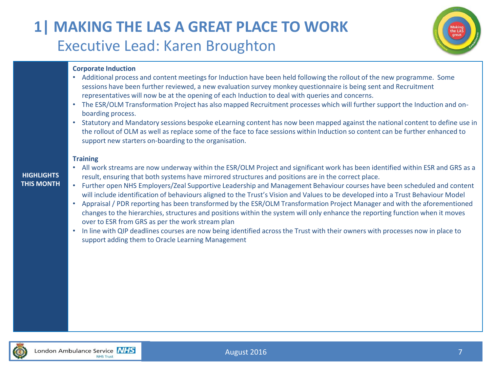### **1| MAKING THE LAS A GREAT PLACE TO WORK** Executive Lead: Karen Broughton



### **Corporate Induction**

- Additional process and content meetings for Induction have been held following the rollout of the new programme. Some sessions have been further reviewed, a new evaluation survey monkey questionnaire is being sent and Recruitment representatives will now be at the opening of each Induction to deal with queries and concerns.
- The ESR/OLM Transformation Project has also mapped Recruitment processes which will further support the Induction and onboarding process.
- Statutory and Mandatory sessions bespoke eLearning content has now been mapped against the national content to define use in the rollout of OLM as well as replace some of the face to face sessions within Induction so content can be further enhanced to support new starters on-boarding to the organisation.

### **Training**

#### **HIGHLIGHTS THIS MONTH**

- All work streams are now underway within the ESR/OLM Project and significant work has been identified within ESR and GRS as a result, ensuring that both systems have mirrored structures and positions are in the correct place.
- Further open NHS Employers/Zeal Supportive Leadership and Management Behaviour courses have been scheduled and content will include identification of behaviours aligned to the Trust's Vision and Values to be developed into a Trust Behaviour Model
- Appraisal / PDR reporting has been transformed by the ESR/OLM Transformation Project Manager and with the aforementioned changes to the hierarchies, structures and positions within the system will only enhance the reporting function when it moves over to ESR from GRS as per the work stream plan
- In line with QIP deadlines courses are now being identified across the Trust with their owners with processes now in place to support adding them to Oracle Learning Management

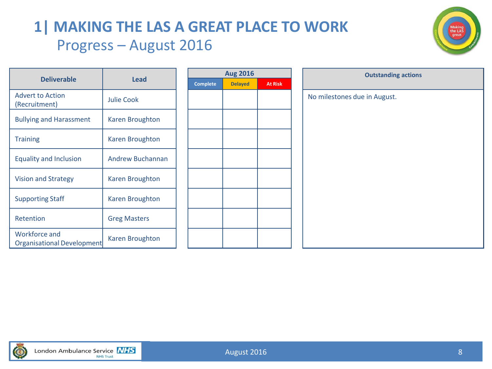### **1| MAKING THE LAS A GREAT PLACE TO WORK** Progress – August 2016



|                                             |                        |  |                 | <b>Aug 2016</b> |                | <b>Outstandin</b>            |
|---------------------------------------------|------------------------|--|-----------------|-----------------|----------------|------------------------------|
| <b>Deliverable</b>                          | <b>Lead</b>            |  | <b>Complete</b> | <b>Delayed</b>  | <b>At Risk</b> |                              |
| <b>Advert to Action</b><br>(Recruitment)    | <b>Julie Cook</b>      |  |                 |                 |                | No milestones due in August. |
| <b>Bullying and Harassment</b>              | Karen Broughton        |  |                 |                 |                |                              |
| <b>Training</b>                             | Karen Broughton        |  |                 |                 |                |                              |
| <b>Equality and Inclusion</b>               | Andrew Buchannan       |  |                 |                 |                |                              |
| <b>Vision and Strategy</b>                  | Karen Broughton        |  |                 |                 |                |                              |
| <b>Supporting Staff</b>                     | Karen Broughton        |  |                 |                 |                |                              |
| Retention                                   | <b>Greg Masters</b>    |  |                 |                 |                |                              |
| Workforce and<br>Organisational Development | <b>Karen Broughton</b> |  |                 |                 |                |                              |

| <b>Aug 2016</b> |                | <b>Outstanding actions</b>   |
|-----------------|----------------|------------------------------|
| <b>Delayed</b>  | <b>At Risk</b> |                              |
|                 |                | No milestones due in August. |
|                 |                |                              |
|                 |                |                              |
|                 |                |                              |
|                 |                |                              |
|                 |                |                              |
|                 |                |                              |
|                 |                |                              |
|                 |                |                              |
|                 |                |                              |

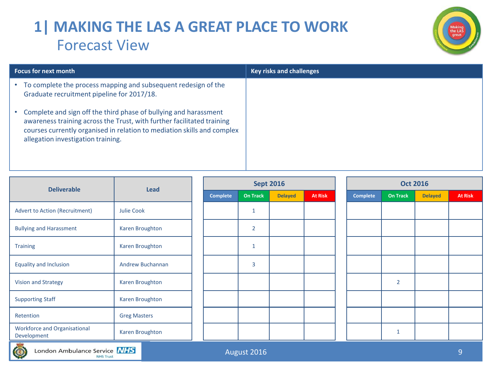### **1| MAKING THE LAS A GREAT PLACE TO WORK** Forecast View



| <b>Focus for next month</b>                                                                                                                                                                                                                                 | <b>Key risks and challenges</b> |
|-------------------------------------------------------------------------------------------------------------------------------------------------------------------------------------------------------------------------------------------------------------|---------------------------------|
| To complete the process mapping and subsequent redesign of the<br>$\bullet$<br>Graduate recruitment pipeline for 2017/18.                                                                                                                                   |                                 |
| Complete and sign off the third phase of bullying and harassment<br>awareness training across the Trust, with further facilitated training<br>courses currently organised in relation to mediation skills and complex<br>allegation investigation training. |                                 |

| <b>Deliverable</b>                                 | <b>Lead</b>             |                 | <b>Sept 2016</b> |                |                | <b>Oct 2016</b> |                 |                |                |  |  |
|----------------------------------------------------|-------------------------|-----------------|------------------|----------------|----------------|-----------------|-----------------|----------------|----------------|--|--|
|                                                    |                         | <b>Complete</b> | <b>On Track</b>  | <b>Delayed</b> | <b>At Risk</b> | Complete        | <b>On Track</b> | <b>Delayed</b> | <b>At Risk</b> |  |  |
| <b>Advert to Action (Recruitment)</b>              | <b>Julie Cook</b>       |                 | $\mathbf{1}$     |                |                |                 |                 |                |                |  |  |
| <b>Bullying and Harassment</b>                     | Karen Broughton         |                 | $\overline{2}$   |                |                |                 |                 |                |                |  |  |
| <b>Training</b>                                    | Karen Broughton         |                 | $\mathbf{1}$     |                |                |                 |                 |                |                |  |  |
| <b>Equality and Inclusion</b>                      | <b>Andrew Buchannan</b> |                 | 3                |                |                |                 |                 |                |                |  |  |
| <b>Vision and Strategy</b>                         | Karen Broughton         |                 |                  |                |                |                 | $\overline{2}$  |                |                |  |  |
| <b>Supporting Staff</b>                            | Karen Broughton         |                 |                  |                |                |                 |                 |                |                |  |  |
| Retention                                          | <b>Greg Masters</b>     |                 |                  |                |                |                 |                 |                |                |  |  |
| <b>Workforce and Organisational</b><br>Development | Karen Broughton         |                 |                  |                |                |                 | $\mathbf{1}$    |                |                |  |  |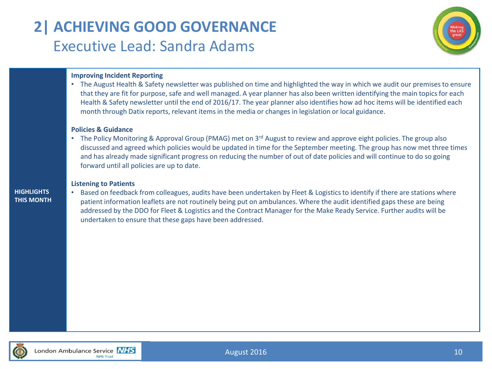# **2| ACHIEVING GOOD GOVERNANCE** Executive Lead: Sandra Adams



### **Improving Incident Reporting**

• The August Health & Safety newsletter was published on time and highlighted the way in which we audit our premises to ensure that they are fit for purpose, safe and well managed. A year planner has also been written identifying the main topics for each Health & Safety newsletter until the end of 2016/17. The year planner also identifies how ad hoc items will be identified each month through Datix reports, relevant items in the media or changes in legislation or local guidance.

### **Policies & Guidance**

• The Policy Monitoring & Approval Group (PMAG) met on  $3^{rd}$  August to review and approve eight policies. The group also discussed and agreed which policies would be updated in time for the September meeting. The group has now met three times and has already made significant progress on reducing the number of out of date policies and will continue to do so going forward until all policies are up to date.

#### **Listening to Patients**

#### **HIGHLIGHTS THIS MONTH**

• Based on feedback from colleagues, audits have been undertaken by Fleet & Logistics to identify if there are stations where patient information leaflets are not routinely being put on ambulances. Where the audit identified gaps these are being addressed by the DDO for Fleet & Logistics and the Contract Manager for the Make Ready Service. Further audits will be undertaken to ensure that these gaps have been addressed.



August 2016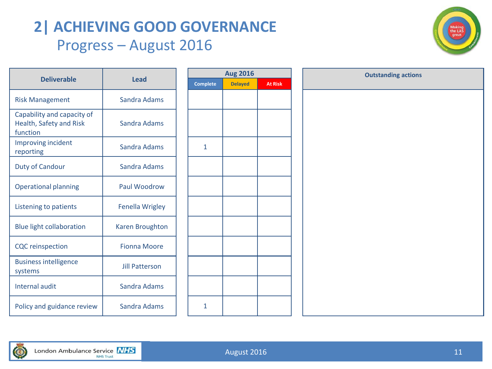### **2| ACHIEVING GOOD GOVERNANCE** Progress – August 2016



| <b>Deliverable</b>                                                | Lead                   | Comp |
|-------------------------------------------------------------------|------------------------|------|
| <b>Risk Management</b>                                            | Sandra Adams           |      |
| Capability and capacity of<br>Health, Safety and Risk<br>function | Sandra Adams           |      |
| Improving incident<br>reporting                                   | Sandra Adams           | 1    |
| <b>Duty of Candour</b>                                            | Sandra Adams           |      |
| <b>Operational planning</b>                                       | Paul Woodrow           |      |
| Listening to patients                                             | <b>Fenella Wrigley</b> |      |
| <b>Blue light collaboration</b>                                   | <b>Karen Broughton</b> |      |
| <b>CQC</b> reinspection                                           | <b>Fionna Moore</b>    |      |
| <b>Business intelligence</b><br>systems                           | <b>Jill Patterson</b>  |      |
| <b>Internal audit</b>                                             | Sandra Adams           |      |
| Policy and guidance review                                        | Sandra Adams           | 1    |

| <b>Aug 2016</b> |                |                |  |  |  |  |  |  |  |
|-----------------|----------------|----------------|--|--|--|--|--|--|--|
| <b>Complete</b> | <b>Delayed</b> | <b>At Risk</b> |  |  |  |  |  |  |  |
|                 |                |                |  |  |  |  |  |  |  |
|                 |                |                |  |  |  |  |  |  |  |
|                 |                |                |  |  |  |  |  |  |  |
|                 |                |                |  |  |  |  |  |  |  |
| $\mathbf{1}$    |                |                |  |  |  |  |  |  |  |
|                 |                |                |  |  |  |  |  |  |  |
|                 |                |                |  |  |  |  |  |  |  |
|                 |                |                |  |  |  |  |  |  |  |
|                 |                |                |  |  |  |  |  |  |  |
|                 |                |                |  |  |  |  |  |  |  |
|                 |                |                |  |  |  |  |  |  |  |
|                 |                |                |  |  |  |  |  |  |  |
|                 |                |                |  |  |  |  |  |  |  |
|                 |                |                |  |  |  |  |  |  |  |
|                 |                |                |  |  |  |  |  |  |  |
|                 |                |                |  |  |  |  |  |  |  |
|                 |                |                |  |  |  |  |  |  |  |
|                 |                |                |  |  |  |  |  |  |  |
| 1               |                |                |  |  |  |  |  |  |  |

| Aug 2016       |         | <b>Outstanding actions</b> |  |
|----------------|---------|----------------------------|--|
| <b>Delayed</b> | At Risk |                            |  |
|                |         |                            |  |
|                |         |                            |  |
|                |         |                            |  |
|                |         |                            |  |
|                |         |                            |  |
|                |         |                            |  |
|                |         |                            |  |
|                |         |                            |  |
|                |         |                            |  |
|                |         |                            |  |
|                |         |                            |  |
|                |         |                            |  |
|                |         |                            |  |
|                |         |                            |  |
|                |         |                            |  |
|                |         |                            |  |
|                |         |                            |  |
|                |         |                            |  |
|                |         |                            |  |
|                |         |                            |  |
|                |         |                            |  |

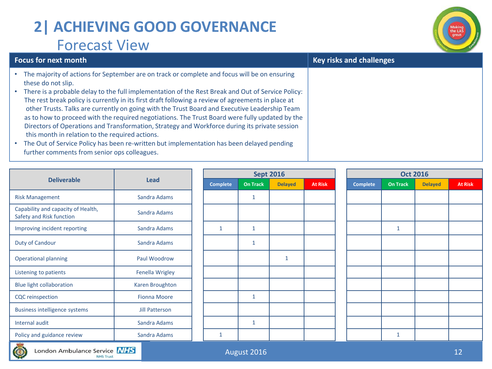# **2| ACHIEVING GOOD GOVERNANCE** Forecast View



### • The majority of actions for September are on track or complete and focus will be on ensuring these do not slip.

**Focus for next month Key risks and challenges**

- There is a probable delay to the full implementation of the Rest Break and Out of Service Policy: The rest break policy is currently in its first draft following a review of agreements in place at other Trusts. Talks are currently on going with the Trust Board and Executive Leadership Team as to how to proceed with the required negotiations. The Trust Board were fully updated by the Directors of Operations and Transformation, Strategy and Workforce during its private session this month in relation to the required actions.
- The Out of Service Policy has been re-written but implementation has been delayed pending further comments from senior ops colleagues.

|                                                                |                     |  |                 | <b>Sept 2016</b> |                |                | <b>Oct 2016</b> |                 |                |                |
|----------------------------------------------------------------|---------------------|--|-----------------|------------------|----------------|----------------|-----------------|-----------------|----------------|----------------|
| <b>Deliverable</b>                                             | <b>Lead</b>         |  | <b>Complete</b> | <b>On Track</b>  | <b>Delayed</b> | <b>At Risk</b> | <b>Complete</b> | <b>On Track</b> | <b>Delayed</b> | <b>At Risk</b> |
| <b>Risk Management</b>                                         | Sandra Adams        |  |                 | 1                |                |                |                 |                 |                |                |
| Capability and capacity of Health,<br>Safety and Risk function | Sandra Adams        |  |                 |                  |                |                |                 |                 |                |                |
| Improving incident reporting                                   | Sandra Adams        |  | $\mathbf{1}$    | $\mathbf{1}$     |                |                |                 | 1               |                |                |
| Duty of Candour                                                | Sandra Adams        |  |                 | 1                |                |                |                 |                 |                |                |
| <b>Operational planning</b>                                    | Paul Woodrow        |  |                 |                  | $\mathbf{1}$   |                |                 |                 |                |                |
| Listening to patients                                          | Fenella Wrigley     |  |                 |                  |                |                |                 |                 |                |                |
| <b>Blue light collaboration</b>                                | Karen Broughton     |  |                 |                  |                |                |                 |                 |                |                |
| <b>CQC</b> reinspection                                        | <b>Fionna Moore</b> |  |                 | 1                |                |                |                 |                 |                |                |
| <b>Business intelligence systems</b>                           | Jill Patterson      |  |                 |                  |                |                |                 |                 |                |                |
| Internal audit                                                 | Sandra Adams        |  |                 | 1                |                |                |                 |                 |                |                |
| Policy and guidance review                                     | Sandra Adams        |  | $\mathbf{1}$    |                  |                |                |                 |                 |                |                |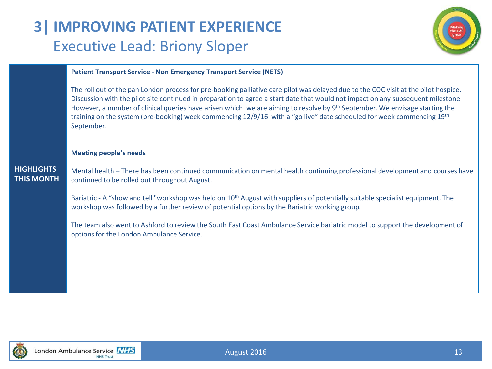## **3| IMPROVING PATIENT EXPERIENCE** Executive Lead: Briony Sloper



### **Patient Transport Service - Non Emergency Transport Service (NETS)**

The roll out of the pan London process for pre-booking palliative care pilot was delayed due to the CQC visit at the pilot hospice. Discussion with the pilot site continued in preparation to agree a start date that would not impact on any subsequent milestone. However, a number of clinical queries have arisen which we are aiming to resolve by 9<sup>th</sup> September. We envisage starting the training on the system (pre-booking) week commencing 12/9/16 with a "go live" date scheduled for week commencing 19th September.

### **Meeting people's needs**

### **HIGHLIGHTS THIS MONTH**

Mental health – There has been continued communication on mental health continuing professional development and courses have continued to be rolled out throughout August.

Bariatric - A "show and tell "workshop was held on 10<sup>th</sup> August with suppliers of potentially suitable specialist equipment. The workshop was followed by a further review of potential options by the Bariatric working group.

The team also went to Ashford to review the South East Coast Ambulance Service bariatric model to support the development of options for the London Ambulance Service.

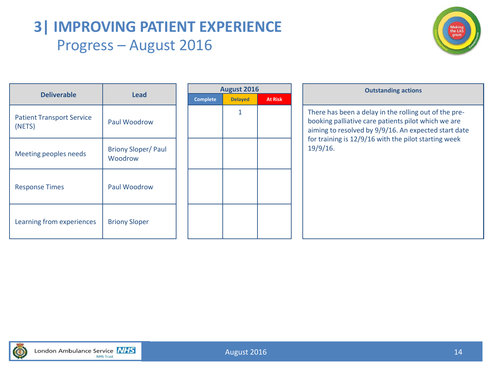### **3| IMPROVING PATIENT EXPERIENCE** Progress – August 2016



| <b>Deliverable</b>                         | Lead                                 |  |
|--------------------------------------------|--------------------------------------|--|
| <b>Patient Transport Service</b><br>(NETS) | Paul Woodrow                         |  |
| Meeting peoples needs                      | <b>Briony Sloper/Paul</b><br>Woodrow |  |
| <b>Response Times</b>                      | Paul Woodrow                         |  |
| Learning from experiences                  | <b>Briony Sloper</b>                 |  |

|                 | <b>August 2016</b> |                |
|-----------------|--------------------|----------------|
| <b>Complete</b> | <b>Delayed</b>     | <b>At Risk</b> |
|                 | 1                  |                |
|                 |                    |                |
|                 |                    |                |
|                 |                    |                |
|                 |                    |                |
|                 |                    |                |
|                 |                    |                |
|                 |                    |                |
|                 |                    |                |
|                 |                    |                |
|                 |                    |                |
|                 |                    |                |

**August 2016 Outstanding actions** There has been a delay in the rolling out of the prebooking palliative care patients pilot which we are aiming to resolved by 9/9/16. An expected start date for training is 12/9/16 with the pilot starting week 19/9/16.



London Ambulance Service NHS **NHS Trust**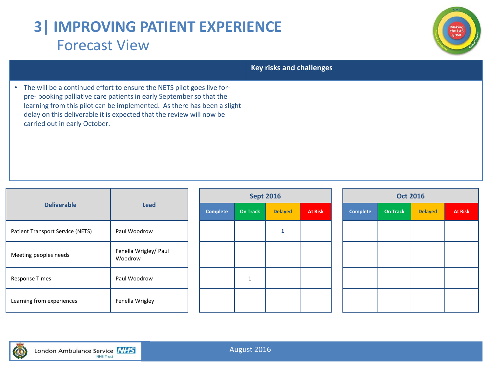# **3| IMPROVING PATIENT EXPERIENCE** Forecast View



|                                                                                                                                                                                                                                                                                                                                                | <b>Key risks and challenges</b> |
|------------------------------------------------------------------------------------------------------------------------------------------------------------------------------------------------------------------------------------------------------------------------------------------------------------------------------------------------|---------------------------------|
| The will be a continued effort to ensure the NETS pilot goes live for-<br>$\bullet$<br>pre-booking palliative care patients in early September so that the<br>learning from this pilot can be implemented. As there has been a slight<br>delay on this deliverable it is expected that the review will now be<br>carried out in early October. |                                 |

| <b>Deliverable</b>               | Lead                             |          | <b>Sept 2016</b>         |                |                | <b>Oct 2016</b> |                 |                |                |  |  |
|----------------------------------|----------------------------------|----------|--------------------------|----------------|----------------|-----------------|-----------------|----------------|----------------|--|--|
|                                  |                                  | Complete | <b>On Track</b>          | <b>Delayed</b> | <b>At Risk</b> | Complete        | <b>On Track</b> | <b>Delayed</b> | <b>At Risk</b> |  |  |
| Patient Transport Service (NETS) | Paul Woodrow                     |          |                          |                |                |                 |                 |                |                |  |  |
| Meeting peoples needs            | Fenella Wrigley/ Paul<br>Woodrow |          |                          |                |                |                 |                 |                |                |  |  |
| <b>Response Times</b>            | Paul Woodrow                     |          | $\overline{\phantom{a}}$ |                |                |                 |                 |                |                |  |  |
| Learning from experiences        | Fenella Wrigley                  |          |                          |                |                |                 |                 |                |                |  |  |

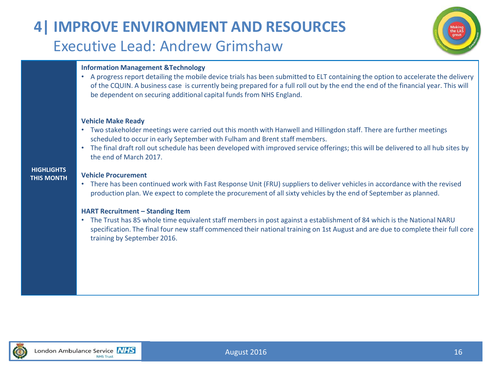# **4| IMPROVE ENVIRONMENT AND RESOURCES** Executive Lead: Andrew Grimshaw



### **Information Management &Technology**

• A progress report detailing the mobile device trials has been submitted to ELT containing the option to accelerate the delivery of the CQUIN. A business case is currently being prepared for a full roll out by the end the end of the financial year. This will be dependent on securing additional capital funds from NHS England.

#### **Vehicle Make Ready**

- Two stakeholder meetings were carried out this month with Hanwell and Hillingdon staff. There are further meetings scheduled to occur in early September with Fulham and Brent staff members.
- The final draft roll out schedule has been developed with improved service offerings; this will be delivered to all hub sites by the end of March 2017.

#### **Vehicle Procurement**

**HIGHLIGHTS THIS MONTH**

> • There has been continued work with Fast Response Unit (FRU) suppliers to deliver vehicles in accordance with the revised production plan. We expect to complete the procurement of all sixty vehicles by the end of September as planned.

### **HART Recruitment – Standing Item**

• The Trust has 85 whole time equivalent staff members in post against a establishment of 84 which is the National NARU specification. The final four new staff commenced their national training on 1st August and are due to complete their full core training by September 2016.

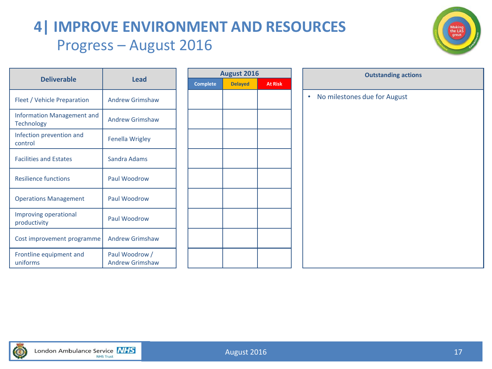# **4| IMPROVE ENVIRONMENT AND RESOURCES** Progress – August 2016



|                                                 |                                          | August 2016 |                 |                |                | <b>Outstanding ac</b>                     |
|-------------------------------------------------|------------------------------------------|-------------|-----------------|----------------|----------------|-------------------------------------------|
| <b>Deliverable</b>                              | <b>Lead</b>                              |             | <b>Complete</b> | <b>Delayed</b> | <b>At Risk</b> |                                           |
| Fleet / Vehicle Preparation                     | <b>Andrew Grimshaw</b>                   |             |                 |                |                | No milestones due for August<br>$\bullet$ |
| Information Management and<br><b>Technology</b> | <b>Andrew Grimshaw</b>                   |             |                 |                |                |                                           |
| Infection prevention and<br>control             | Fenella Wrigley                          |             |                 |                |                |                                           |
| <b>Facilities and Estates</b>                   | Sandra Adams                             |             |                 |                |                |                                           |
| <b>Resilience functions</b>                     | Paul Woodrow                             |             |                 |                |                |                                           |
| <b>Operations Management</b>                    | Paul Woodrow                             |             |                 |                |                |                                           |
| Improving operational<br>productivity           | Paul Woodrow                             |             |                 |                |                |                                           |
| Cost improvement programme                      | <b>Andrew Grimshaw</b>                   |             |                 |                |                |                                           |
| Frontline equipment and<br>uniforms             | Paul Woodrow /<br><b>Andrew Grimshaw</b> |             |                 |                |                |                                           |

|          | <b>August 2016</b> |                |
|----------|--------------------|----------------|
| Complete | <b>Delayed</b>     | <b>At Risk</b> |
|          |                    |                |
|          |                    |                |
|          |                    |                |
|          |                    |                |
|          |                    |                |
|          |                    |                |
|          |                    |                |
|          |                    |                |
|          |                    |                |
|          |                    |                |
|          |                    |                |
|          |                    |                |
|          |                    |                |
|          |                    |                |
|          |                    |                |
|          |                    |                |
|          |                    |                |

| <b>August 2016</b> |                | <b>Outstanding actions</b>                |
|--------------------|----------------|-------------------------------------------|
| <b>Delayed</b>     | <b>At Risk</b> |                                           |
|                    |                | No milestones due for August<br>$\bullet$ |
|                    |                |                                           |
|                    |                |                                           |
|                    |                |                                           |
|                    |                |                                           |
|                    |                |                                           |
|                    |                |                                           |
|                    |                |                                           |
|                    |                |                                           |
|                    |                |                                           |
|                    |                |                                           |
|                    |                |                                           |
|                    |                |                                           |
|                    |                |                                           |
|                    |                |                                           |

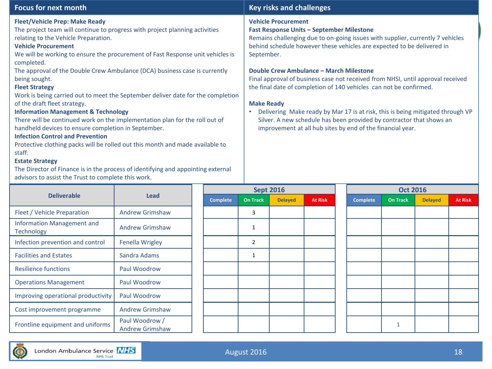#### **Fleet/Vehicle Prep: Make Ready**

**Fleet/Vehicle Prep: Make Ready**<br>The project team will continue to progress with project planning activities **Fast Response Units – September** I relating to the Vehicle Preparation.

### **Vehicle Procurement**

relating to the venicle Preparation.<br>**Vehicle Procurement**<br>We will be working to ensure the procurement of Fast Response unit vehicles is completed.

The approval of the Double Crew Ambulance (DCA) business case is currently being sought.

### **Fleet Strategy**

Work is being carried out to meet the September deliver date for the completion of the draft fleet strategy.

### **Information Management & Technology**

There will be continued work on the implementation plan for the roll out of handheld devices to ensure completion in September.

### **Infection Control and Prevention**

Protective clothing packs will be rolled out this month and made available to staff.

### **Estate Strategy**

The Director of Finance is in the process of identifying and appointing external advisors to assist the Trust to complete this work.

### **Focus for next month Key risks and challenges**

#### **Vehicle Procurement**

#### **Fast Response Units – September Milestone**

Remains challenging due to on-going issues with supplier, currently 7 vehicles behind schedule however these vehicles are expected to be delivered in September.

#### **Double Crew Ambulance – March Milestone**

Final approval of business case not received from NHSI, until approval received the final date of completion of 140 vehicles can not be confirmed.

#### **Make Ready**

• Delivering Make ready by Mar 17 is at risk, this is being mitigated through VP Silver. A new schedule has been provided by contractor that shows an improvement at all hub sites by end of the financial year.

|                                                 |                                          |                 |                 | <b>Sept 2016</b> |                | <b>Oct 2016</b> |                 |                |                |  |
|-------------------------------------------------|------------------------------------------|-----------------|-----------------|------------------|----------------|-----------------|-----------------|----------------|----------------|--|
| <b>Deliverable</b>                              | <b>Lead</b>                              | <b>Complete</b> | <b>On Track</b> | <b>Delayed</b>   | <b>At Risk</b> | <b>Complete</b> | <b>On Track</b> | <b>Delayed</b> | <b>At Risk</b> |  |
| Fleet / Vehicle Preparation                     | <b>Andrew Grimshaw</b>                   |                 | 3               |                  |                |                 |                 |                |                |  |
| <b>Information Management and</b><br>Technology | <b>Andrew Grimshaw</b>                   |                 | 1               |                  |                |                 |                 |                |                |  |
| Infection prevention and control                | <b>Fenella Wrigley</b>                   |                 | 2               |                  |                |                 |                 |                |                |  |
| <b>Facilities and Estates</b>                   | Sandra Adams                             |                 | 1               |                  |                |                 |                 |                |                |  |
| <b>Resilience functions</b>                     | Paul Woodrow                             |                 |                 |                  |                |                 |                 |                |                |  |
| <b>Operations Management</b>                    | Paul Woodrow                             |                 |                 |                  |                |                 |                 |                |                |  |
| Improving operational productivity              | Paul Woodrow                             |                 |                 |                  |                |                 |                 |                |                |  |
| Cost improvement programme                      | <b>Andrew Grimshaw</b>                   |                 |                 |                  |                |                 |                 |                |                |  |
| Frontline equipment and uniforms                | Paul Woodrow /<br><b>Andrew Grimshaw</b> |                 |                 |                  |                |                 |                 |                |                |  |

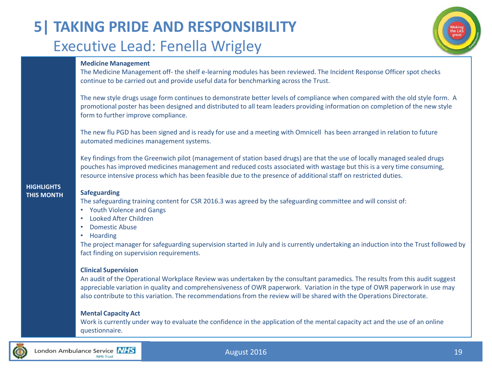# **5| TAKING PRIDE AND RESPONSIBILITY** Executive Lead: Fenella Wrigley

### **Medicine Management**

The Medicine Management off- the shelf e-learning modules has been reviewed. The Incident Response Officer spot checks continue to be carried out and provide useful data for benchmarking across the Trust.

The new style drugs usage form continues to demonstrate better levels of compliance when compared with the old style form. A promotional poster has been designed and distributed to all team leaders providing information on completion of the new style form to further improve compliance.

The new flu PGD has been signed and is ready for use and a meeting with Omnicell has been arranged in relation to future automated medicines management systems.

Key findings from the Greenwich pilot (management of station based drugs) are that the use of locally managed sealed drugs pouches has improved medicines management and reduced costs associated with wastage but this is a very time consuming, resource intensive process which has been feasible due to the presence of additional staff on restricted duties.

#### **HIGHLIGHTS THIS MONTH Safeguarding**

The safeguarding training content for CSR 2016.3 was agreed by the safeguarding committee and will consist of:

- Youth Violence and Gangs
- Looked After Children
- Domestic Abuse
- Hoarding

The project manager for safeguarding supervision started in July and is currently undertaking an induction into the Trust followed by fact finding on supervision requirements.

### **Clinical Supervision**

An audit of the Operational Workplace Review was undertaken by the consultant paramedics. The results from this audit suggest appreciable variation in quality and comprehensiveness of OWR paperwork. Variation in the type of OWR paperwork in use may also contribute to this variation. The recommendations from the review will be shared with the Operations Directorate.

### **Mental Capacity Act**

Work is currently under way to evaluate the confidence in the application of the mental capacity act and the use of an online questionnaire.



August 2016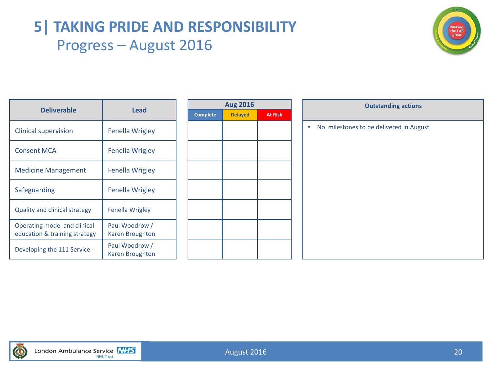### **5| TAKING PRIDE AND RESPONSIBILITY** Progress – August 2016



|                                                               |                                   |  |                 | <b>Aug 2016</b> |                | <b>Outstanding actions</b>                   |
|---------------------------------------------------------------|-----------------------------------|--|-----------------|-----------------|----------------|----------------------------------------------|
| <b>Deliverable</b>                                            | <b>Lead</b>                       |  | <b>Complete</b> | <b>Delayed</b>  | <b>At Risk</b> |                                              |
| <b>Clinical supervision</b>                                   | <b>Fenella Wrigley</b>            |  |                 |                 |                | No milestones to be delivered in August<br>٠ |
| <b>Consent MCA</b>                                            | <b>Fenella Wrigley</b>            |  |                 |                 |                |                                              |
| <b>Medicine Management</b>                                    | <b>Fenella Wrigley</b>            |  |                 |                 |                |                                              |
| Safeguarding                                                  | <b>Fenella Wrigley</b>            |  |                 |                 |                |                                              |
| Quality and clinical strategy                                 | <b>Fenella Wrigley</b>            |  |                 |                 |                |                                              |
| Operating model and clinical<br>education & training strategy | Paul Woodrow /<br>Karen Broughton |  |                 |                 |                |                                              |
| Developing the 111 Service                                    | Paul Woodrow /<br>Karen Broughton |  |                 |                 |                |                                              |

| <b>Aug 2016</b> |                |                |  |  |  |  |  |  |  |
|-----------------|----------------|----------------|--|--|--|--|--|--|--|
| <b>Complete</b> | <b>Delayed</b> | <b>At Risk</b> |  |  |  |  |  |  |  |
|                 |                |                |  |  |  |  |  |  |  |
|                 |                |                |  |  |  |  |  |  |  |
|                 |                |                |  |  |  |  |  |  |  |
|                 |                |                |  |  |  |  |  |  |  |
|                 |                |                |  |  |  |  |  |  |  |
|                 |                |                |  |  |  |  |  |  |  |
|                 |                |                |  |  |  |  |  |  |  |
|                 |                |                |  |  |  |  |  |  |  |
|                 |                |                |  |  |  |  |  |  |  |
|                 |                |                |  |  |  |  |  |  |  |
|                 |                |                |  |  |  |  |  |  |  |
|                 |                |                |  |  |  |  |  |  |  |
|                 |                |                |  |  |  |  |  |  |  |

| <b>Aug 2016</b> |                | <b>Outstanding actions</b>                   |
|-----------------|----------------|----------------------------------------------|
| <b>Delayed</b>  | <b>At Risk</b> |                                              |
|                 |                | No milestones to be delivered in August<br>٠ |
|                 |                |                                              |
|                 |                |                                              |
|                 |                |                                              |
|                 |                |                                              |
|                 |                |                                              |
|                 |                |                                              |
|                 |                |                                              |
|                 |                |                                              |
|                 |                |                                              |
|                 |                |                                              |
|                 |                |                                              |
|                 |                |                                              |